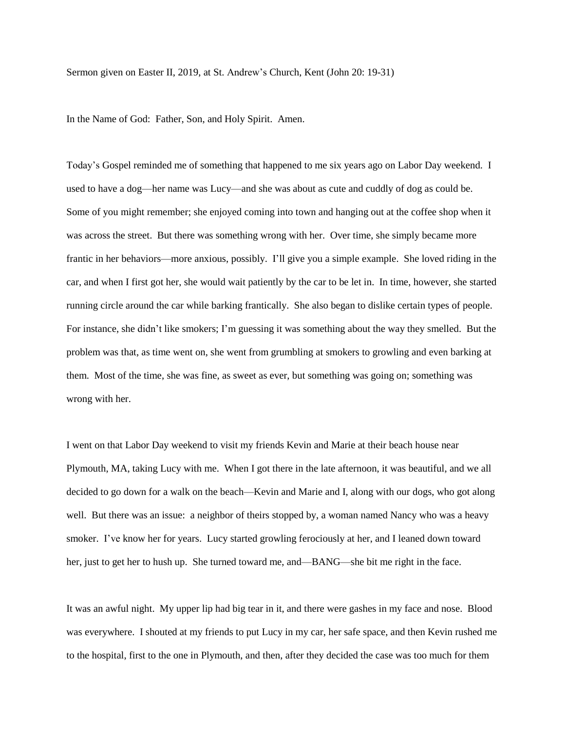Sermon given on Easter II, 2019, at St. Andrew's Church, Kent (John 20: 19-31)

In the Name of God: Father, Son, and Holy Spirit. Amen.

Today's Gospel reminded me of something that happened to me six years ago on Labor Day weekend. I used to have a dog—her name was Lucy—and she was about as cute and cuddly of dog as could be. Some of you might remember; she enjoyed coming into town and hanging out at the coffee shop when it was across the street. But there was something wrong with her. Over time, she simply became more frantic in her behaviors—more anxious, possibly. I'll give you a simple example. She loved riding in the car, and when I first got her, she would wait patiently by the car to be let in. In time, however, she started running circle around the car while barking frantically. She also began to dislike certain types of people. For instance, she didn't like smokers; I'm guessing it was something about the way they smelled. But the problem was that, as time went on, she went from grumbling at smokers to growling and even barking at them. Most of the time, she was fine, as sweet as ever, but something was going on; something was wrong with her.

I went on that Labor Day weekend to visit my friends Kevin and Marie at their beach house near Plymouth, MA, taking Lucy with me. When I got there in the late afternoon, it was beautiful, and we all decided to go down for a walk on the beach—Kevin and Marie and I, along with our dogs, who got along well. But there was an issue: a neighbor of theirs stopped by, a woman named Nancy who was a heavy smoker. I've know her for years. Lucy started growling ferociously at her, and I leaned down toward her, just to get her to hush up. She turned toward me, and—BANG—she bit me right in the face.

It was an awful night. My upper lip had big tear in it, and there were gashes in my face and nose. Blood was everywhere. I shouted at my friends to put Lucy in my car, her safe space, and then Kevin rushed me to the hospital, first to the one in Plymouth, and then, after they decided the case was too much for them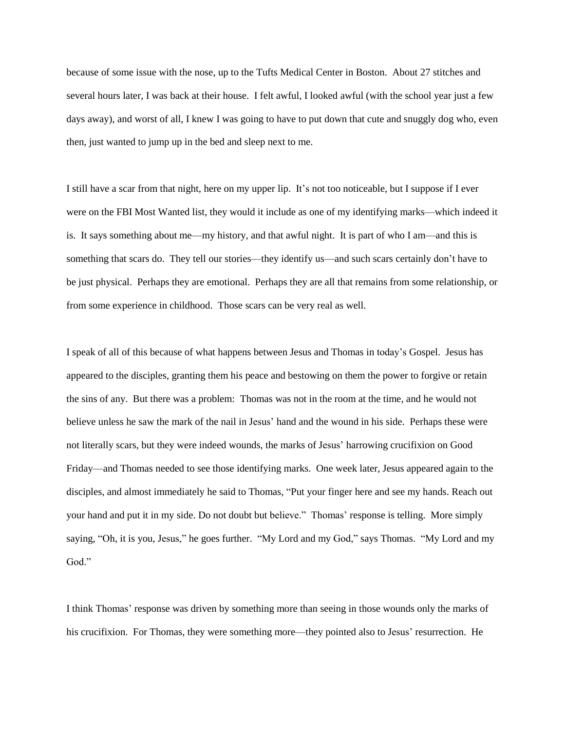because of some issue with the nose, up to the Tufts Medical Center in Boston. About 27 stitches and several hours later, I was back at their house. I felt awful, I looked awful (with the school year just a few days away), and worst of all, I knew I was going to have to put down that cute and snuggly dog who, even then, just wanted to jump up in the bed and sleep next to me.

I still have a scar from that night, here on my upper lip. It's not too noticeable, but I suppose if I ever were on the FBI Most Wanted list, they would it include as one of my identifying marks—which indeed it is. It says something about me—my history, and that awful night. It is part of who I am—and this is something that scars do. They tell our stories—they identify us—and such scars certainly don't have to be just physical. Perhaps they are emotional. Perhaps they are all that remains from some relationship, or from some experience in childhood. Those scars can be very real as well.

I speak of all of this because of what happens between Jesus and Thomas in today's Gospel. Jesus has appeared to the disciples, granting them his peace and bestowing on them the power to forgive or retain the sins of any. But there was a problem: Thomas was not in the room at the time, and he would not believe unless he saw the mark of the nail in Jesus' hand and the wound in his side. Perhaps these were not literally scars, but they were indeed wounds, the marks of Jesus' harrowing crucifixion on Good Friday—and Thomas needed to see those identifying marks. One week later, Jesus appeared again to the disciples, and almost immediately he said to Thomas, "Put your finger here and see my hands. Reach out your hand and put it in my side. Do not doubt but believe." Thomas' response is telling. More simply saying, "Oh, it is you, Jesus," he goes further. "My Lord and my God," says Thomas. "My Lord and my God."

I think Thomas' response was driven by something more than seeing in those wounds only the marks of his crucifixion. For Thomas, they were something more—they pointed also to Jesus' resurrection. He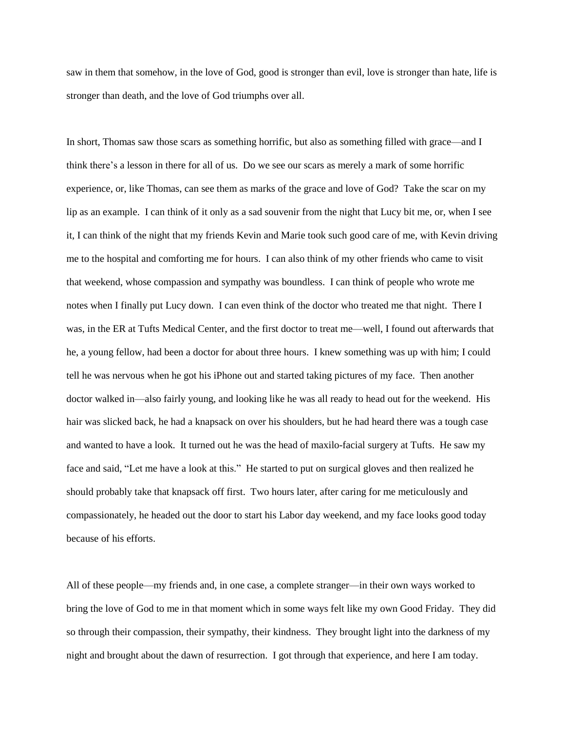saw in them that somehow, in the love of God, good is stronger than evil, love is stronger than hate, life is stronger than death, and the love of God triumphs over all.

In short, Thomas saw those scars as something horrific, but also as something filled with grace—and I think there's a lesson in there for all of us. Do we see our scars as merely a mark of some horrific experience, or, like Thomas, can see them as marks of the grace and love of God? Take the scar on my lip as an example. I can think of it only as a sad souvenir from the night that Lucy bit me, or, when I see it, I can think of the night that my friends Kevin and Marie took such good care of me, with Kevin driving me to the hospital and comforting me for hours. I can also think of my other friends who came to visit that weekend, whose compassion and sympathy was boundless. I can think of people who wrote me notes when I finally put Lucy down. I can even think of the doctor who treated me that night. There I was, in the ER at Tufts Medical Center, and the first doctor to treat me—well, I found out afterwards that he, a young fellow, had been a doctor for about three hours. I knew something was up with him; I could tell he was nervous when he got his iPhone out and started taking pictures of my face. Then another doctor walked in—also fairly young, and looking like he was all ready to head out for the weekend. His hair was slicked back, he had a knapsack on over his shoulders, but he had heard there was a tough case and wanted to have a look. It turned out he was the head of maxilo-facial surgery at Tufts. He saw my face and said, "Let me have a look at this." He started to put on surgical gloves and then realized he should probably take that knapsack off first. Two hours later, after caring for me meticulously and compassionately, he headed out the door to start his Labor day weekend, and my face looks good today because of his efforts.

All of these people—my friends and, in one case, a complete stranger—in their own ways worked to bring the love of God to me in that moment which in some ways felt like my own Good Friday. They did so through their compassion, their sympathy, their kindness. They brought light into the darkness of my night and brought about the dawn of resurrection. I got through that experience, and here I am today.